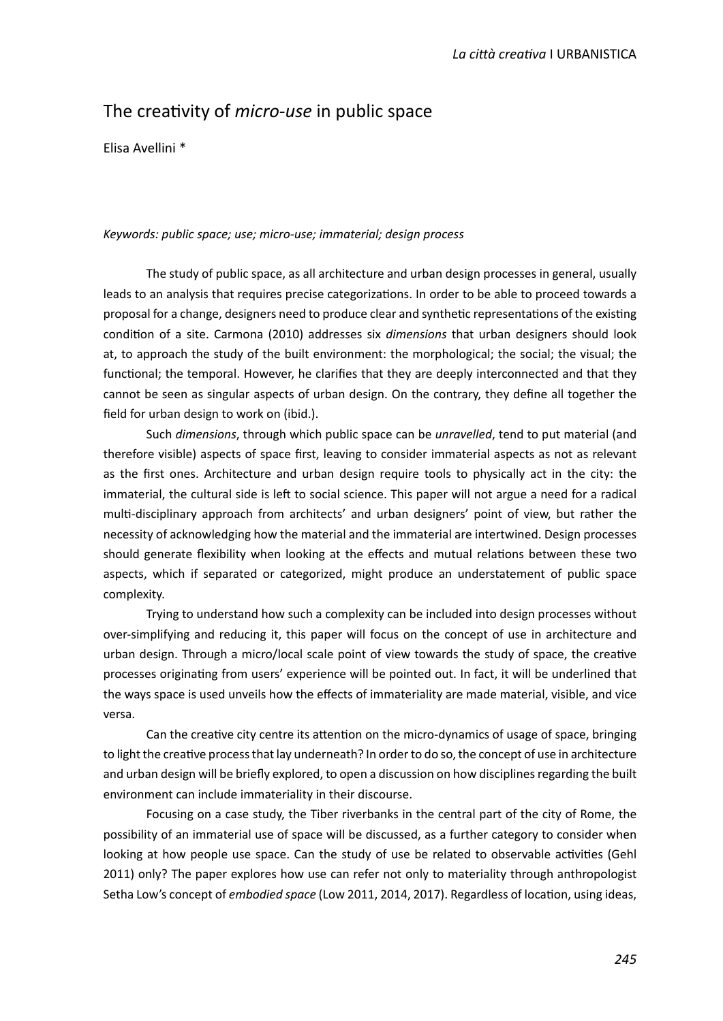# The creatvity of *micro-use* in public space

Elisa Avellini \*

## *Keywords: public space; use; micro-use; immaterial; design process*

The study of public space, as all architecture and urban design processes in general, usually leads to an analysis that requires precise categorizatons. In order to be able to proceed towards a proposal for a change, designers need to produce clear and synthetic representations of the existing conditon of a site. Carmona (2010) addresses six *dimensions* that urban designers should look at, to approach the study of the built environment: the morphological; the social; the visual; the functional; the temporal. However, he clarifies that they are deeply interconnected and that they cannot be seen as singular aspects of urban design. On the contrary, they defne all together the field for urban design to work on (ibid.).

Such *dimensions*, through which public space can be *unravelled*, tend to put material (and therefore visible) aspects of space frst, leaving to consider immaterial aspects as not as relevant as the frst ones. Architecture and urban design require tools to physically act in the city: the immaterial, the cultural side is left to social science. This paper will not argue a need for a radical mult-disciplinary approach from architects' and urban designers' point of view, but rather the necessity of acknowledging how the material and the immaterial are intertwined. Design processes should generate fexibility when looking at the efects and mutual relatons between these two aspects, which if separated or categorized, might produce an understatement of public space complexity.

Trying to understand how such a complexity can be included into design processes without over-simplifying and reducing it, this paper will focus on the concept of use in architecture and urban design. Through a micro/local scale point of view towards the study of space, the creatve processes originating from users' experience will be pointed out. In fact, it will be underlined that the ways space is used unveils how the efects of immateriality are made material, visible, and vice versa.

Can the creative city centre its attention on the micro-dynamics of usage of space, bringing to light the creatve process that lay underneath? In order to do so, the concept of use in architecture and urban design will be briefy explored, to open a discussion on how disciplines regarding the built environment can include immateriality in their discourse.

Focusing on a case study, the Tiber riverbanks in the central part of the city of Rome, the possibility of an immaterial use of space will be discussed, as a further category to consider when looking at how people use space. Can the study of use be related to observable activities (Gehl 2011) only? The paper explores how use can refer not only to materiality through anthropologist Setha Low's concept of *embodied space* (Low 2011, 2014, 2017). Regardless of locaton, using ideas,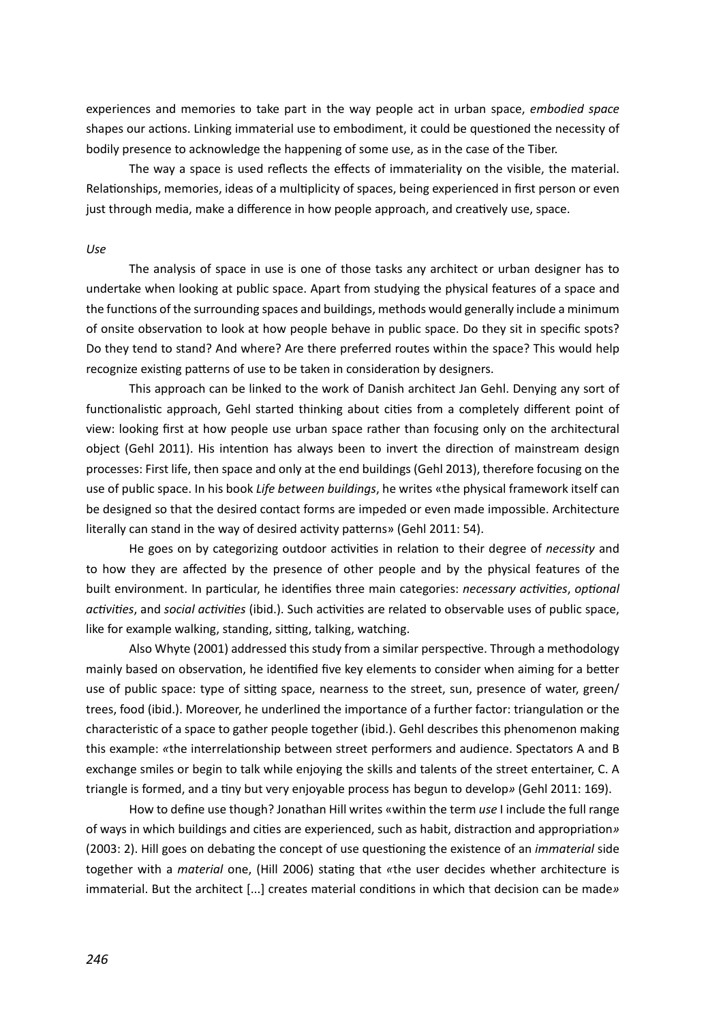experiences and memories to take part in the way people act in urban space, *embodied space* shapes our actions. Linking immaterial use to embodiment, it could be questioned the necessity of bodily presence to acknowledge the happening of some use, as in the case of the Tiber.

The way a space is used refects the efects of immateriality on the visible, the material. Relationships, memories, ideas of a multiplicity of spaces, being experienced in first person or even just through media, make a diference in how people approach, and creatvely use, space.

#### *Use*

The analysis of space in use is one of those tasks any architect or urban designer has to undertake when looking at public space. Apart from studying the physical features of a space and the functions of the surrounding spaces and buildings, methods would generally include a minimum of onsite observation to look at how people behave in public space. Do they sit in specific spots? Do they tend to stand? And where? Are there preferred routes within the space? This would help recognize existing patterns of use to be taken in consideration by designers.

This approach can be linked to the work of Danish architect Jan Gehl. Denying any sort of functionalistic approach, Gehl started thinking about cities from a completely different point of view: looking frst at how people use urban space rather than focusing only on the architectural object (Gehl 2011). His intention has always been to invert the direction of mainstream design processes: First life, then space and only at the end buildings (Gehl 2013), therefore focusing on the use of public space. In his book *Life between buildings*, he writes «the physical framework itself can be designed so that the desired contact forms are impeded or even made impossible. Architecture literally can stand in the way of desired activity patterns» (Gehl 2011: 54).

He goes on by categorizing outdoor activities in relation to their degree of *necessity* and to how they are afected by the presence of other people and by the physical features of the built environment. In particular, he identifies three main categories: *necessary activities*, *optional actvites*, and *social actvites* (ibid.). Such actvites are related to observable uses of public space, like for example walking, standing, sitting, talking, watching.

Also Whyte (2001) addressed this study from a similar perspective. Through a methodology mainly based on observation, he identified five key elements to consider when aiming for a better use of public space: type of sitting space, nearness to the street, sun, presence of water, green/ trees, food (ibid.). Moreover, he underlined the importance of a further factor: triangulaton or the characteristic of a space to gather people together (ibid.). Gehl describes this phenomenon making this example: «the interrelationship between street performers and audience. Spectators A and B exchange smiles or begin to talk while enjoying the skills and talents of the street entertainer, C. A triangle is formed, and a tny but very enjoyable process has begun to develop*»* (Gehl 2011: 169).

How to defne use though? Jonathan Hill writes «within the term *use* I include the full range of ways in which buildings and cites are experienced, such as habit, distracton and appropriaton*»* (2003: 2). Hill goes on debatng the concept of use questoning the existence of an *immaterial* side together with a *material* one, (Hill 2006) statng that *«*the user decides whether architecture is immaterial. But the architect [...] creates material conditons in which that decision can be made*»*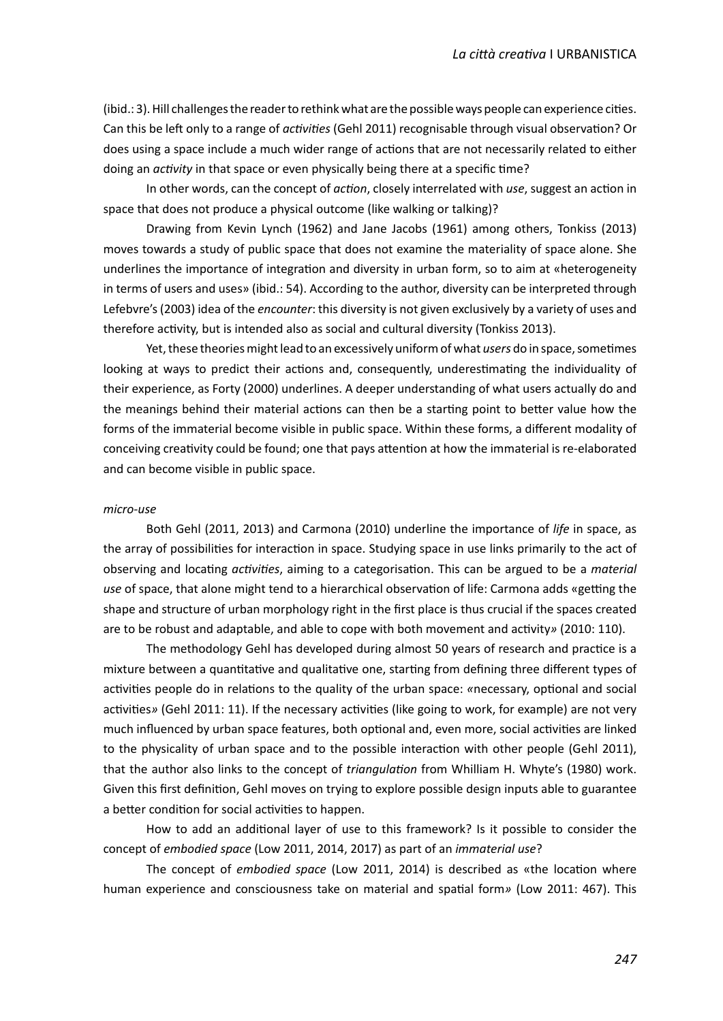(ibid.: 3). Hill challenges the reader to rethink what are the possible ways people can experience cites. Can this be lef only to a range of *actvites* (Gehl 2011) recognisable through visual observaton? Or does using a space include a much wider range of actions that are not necessarily related to either doing an *activity* in that space or even physically being there at a specific time?

In other words, can the concept of *acton*, closely interrelated with *use*, suggest an acton in space that does not produce a physical outcome (like walking or talking)?

Drawing from Kevin Lynch (1962) and Jane Jacobs (1961) among others, Tonkiss (2013) moves towards a study of public space that does not examine the materiality of space alone. She underlines the importance of integration and diversity in urban form, so to aim at «heterogeneity in terms of users and uses» (ibid.: 54). According to the author, diversity can be interpreted through Lefebvre's (2003) idea of the *encounter*: this diversity is not given exclusively by a variety of uses and therefore activity, but is intended also as social and cultural diversity (Tonkiss 2013).

Yet, these theories might lead to an excessively uniform of what *users* do in space, sometmes looking at ways to predict their actions and, consequently, underestimating the individuality of their experience, as Forty (2000) underlines. A deeper understanding of what users actually do and the meanings behind their material actions can then be a starting point to better value how the forms of the immaterial become visible in public space. Within these forms, a diferent modality of conceiving creatvity could be found; one that pays atenton at how the immaterial is re-elaborated and can become visible in public space.

## *micro-use*

Both Gehl (2011, 2013) and Carmona (2010) underline the importance of *life* in space, as the array of possibilities for interaction in space. Studying space in use links primarily to the act of observing and locatng *actvites*, aiming to a categorisaton. This can be argued to be a *material*  use of space, that alone might tend to a hierarchical observation of life: Carmona adds «getting the shape and structure of urban morphology right in the frst place is thus crucial if the spaces created are to be robust and adaptable, and able to cope with both movement and actvity*»* (2010: 110).

The methodology Gehl has developed during almost 50 years of research and practice is a mixture between a quantitative and qualitative one, starting from defining three different types of activities people do in relations to the quality of the urban space: «necessary, optional and social activities» (Gehl 2011: 11). If the necessary activities (like going to work, for example) are not very much influenced by urban space features, both optional and, even more, social activities are linked to the physicality of urban space and to the possible interaction with other people (Gehl 2011), that the author also links to the concept of *triangulaton* from Whilliam H. Whyte's (1980) work. Given this frst defniton, Gehl moves on trying to explore possible design inputs able to guarantee a better condition for social activities to happen.

How to add an additonal layer of use to this framework? Is it possible to consider the concept of *embodied space* (Low 2011, 2014, 2017) as part of an *immaterial use*?

The concept of *embodied space* (Low 2011, 2014) is described as «the locaton where human experience and consciousness take on material and spatal form*»* (Low 2011: 467). This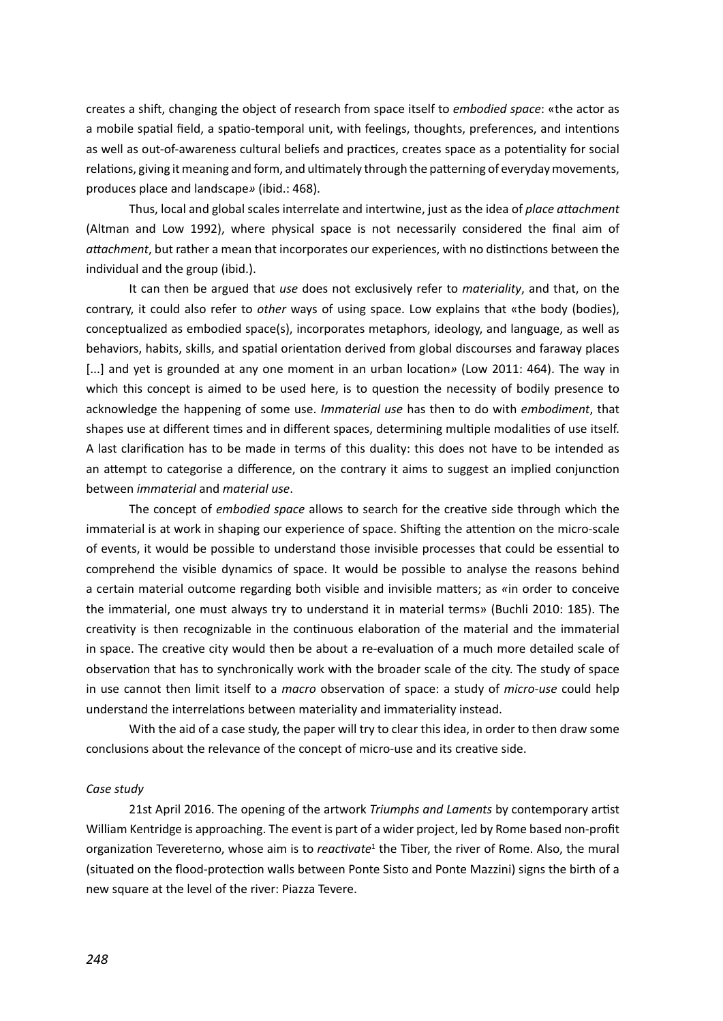creates a shif, changing the object of research from space itself to *embodied space*: «the actor as a mobile spatial field, a spatio-temporal unit, with feelings, thoughts, preferences, and intentions as well as out-of-awareness cultural beliefs and practices, creates space as a potentiality for social relatons, giving it meaning and form, and ultmately through the paterning of everyday movements, produces place and landscape*»* (ibid.: 468).

Thus, local and global scales interrelate and intertwine, just as the idea of *place atachment* (Altman and Low 1992), where physical space is not necessarily considered the fnal aim of *atachment*, but rather a mean that incorporates our experiences, with no distnctons between the individual and the group (ibid.).

It can then be argued that *use* does not exclusively refer to *materiality*, and that, on the contrary, it could also refer to *other* ways of using space. Low explains that «the body (bodies), conceptualized as embodied space(s), incorporates metaphors, ideology, and language, as well as behaviors, habits, skills, and spatal orientaton derived from global discourses and faraway places [...] and yet is grounded at any one moment in an urban location» (Low 2011: 464). The way in which this concept is aimed to be used here, is to question the necessity of bodily presence to acknowledge the happening of some use. *Immaterial use* has then to do with *embodiment*, that shapes use at diferent tmes and in diferent spaces, determining multple modalites of use itself. A last clarification has to be made in terms of this duality: this does not have to be intended as an attempt to categorise a difference, on the contrary it aims to suggest an implied conjunction between *immaterial* and *material use*.

The concept of *embodied space* allows to search for the creatve side through which the immaterial is at work in shaping our experience of space. Shifting the attention on the micro-scale of events, it would be possible to understand those invisible processes that could be essental to comprehend the visible dynamics of space. It would be possible to analyse the reasons behind a certain material outcome regarding both visible and invisible maters; as *«*in order to conceive the immaterial, one must always try to understand it in material terms» (Buchli 2010: 185). The creativity is then recognizable in the continuous elaboration of the material and the immaterial in space. The creative city would then be about a re-evaluation of a much more detailed scale of observaton that has to synchronically work with the broader scale of the city. The study of space in use cannot then limit itself to a *macro* observation of space: a study of *micro-use* could help understand the interrelations between materiality and immateriality instead.

With the aid of a case study, the paper will try to clear this idea, in order to then draw some conclusions about the relevance of the concept of micro-use and its creatve side.

### *Case study*

21st April 2016. The opening of the artwork *Triumphs and Laments* by contemporary artst William Kentridge is approaching. The event is part of a wider project, led by Rome based non-proft organizaton Tevereterno, whose aim is to *reactvate*<sup>1</sup> the Tiber, the river of Rome. Also, the mural (situated on the food-protecton walls between Ponte Sisto and Ponte Mazzini) signs the birth of a new square at the level of the river: Piazza Tevere.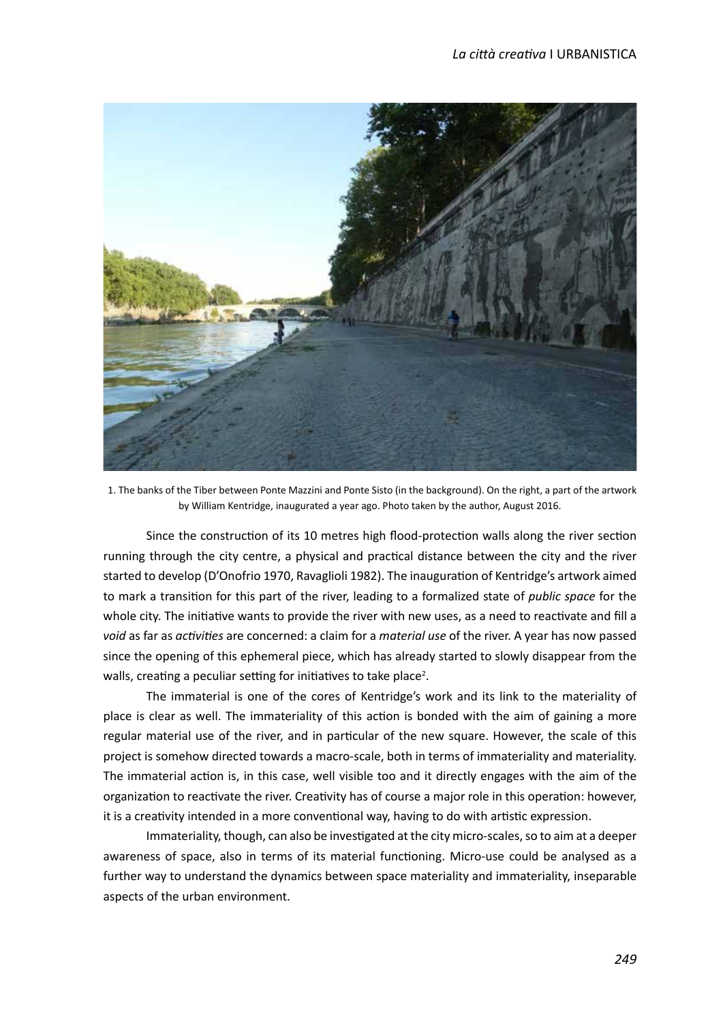

 1. The banks of the Tiber between Ponte Mazzini and Ponte Sisto (in the background). On the right, a part of the artwork by William Kentridge, inaugurated a year ago. Photo taken by the author, August 2016.

Since the construction of its 10 metres high flood-protection walls along the river section running through the city centre, a physical and practical distance between the city and the river started to develop (D'Onofrio 1970, Ravaglioli 1982). The inauguration of Kentridge's artwork aimed to mark a transiton for this part of the river, leading to a formalized state of *public space* for the whole city. The initiative wants to provide the river with new uses, as a need to reactivate and fill a *void* as far as *actvites* are concerned: a claim for a *material use* of the river. A year has now passed since the opening of this ephemeral piece, which has already started to slowly disappear from the walls, creating a peculiar setting for initiatives to take place<sup>2</sup>.

The immaterial is one of the cores of Kentridge's work and its link to the materiality of place is clear as well. The immateriality of this action is bonded with the aim of gaining a more regular material use of the river, and in particular of the new square. However, the scale of this project is somehow directed towards a macro-scale, both in terms of immateriality and materiality. The immaterial action is, in this case, well visible too and it directly engages with the aim of the organization to reactivate the river. Creativity has of course a major role in this operation: however, it is a creativity intended in a more conventional way, having to do with artistic expression.

Immateriality, though, can also be investgated at the city micro-scales, so to aim at a deeper awareness of space, also in terms of its material functioning. Micro-use could be analysed as a further way to understand the dynamics between space materiality and immateriality, inseparable aspects of the urban environment.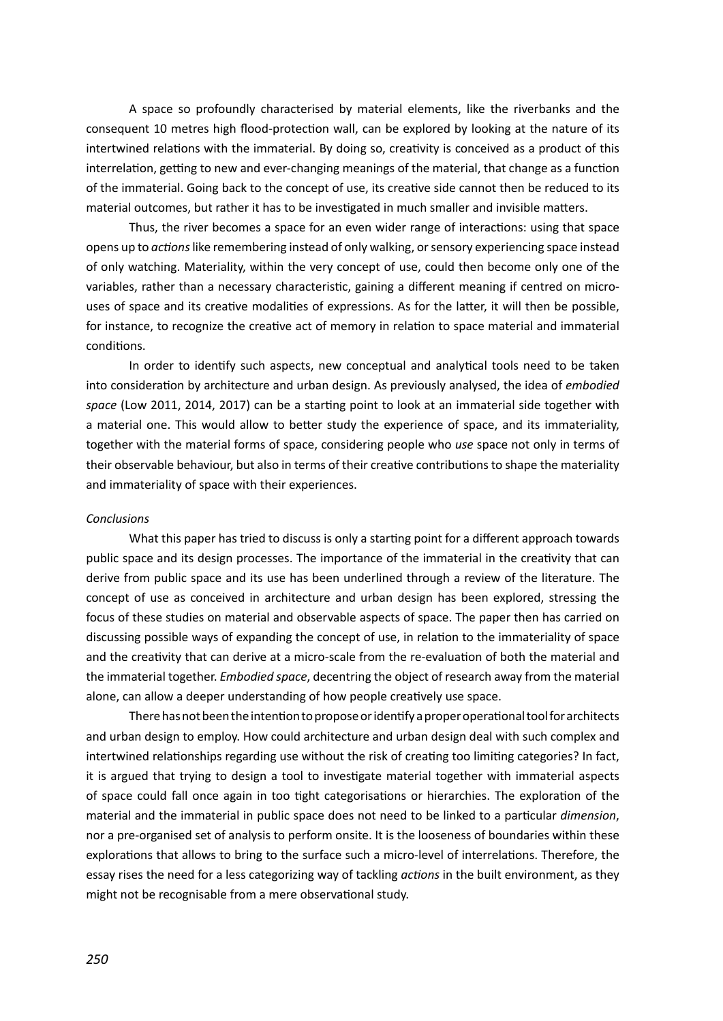A space so profoundly characterised by material elements, like the riverbanks and the consequent 10 metres high flood-protection wall, can be explored by looking at the nature of its intertwined relations with the immaterial. By doing so, creativity is conceived as a product of this interrelation, getting to new and ever-changing meanings of the material, that change as a function of the immaterial. Going back to the concept of use, its creatve side cannot then be reduced to its material outcomes, but rather it has to be investgated in much smaller and invisible maters.

Thus, the river becomes a space for an even wider range of interactons: using that space opens up to *actons* like remembering instead of only walking, or sensory experiencing space instead of only watching. Materiality, within the very concept of use, could then become only one of the variables, rather than a necessary characteristic, gaining a different meaning if centred on microuses of space and its creative modalities of expressions. As for the latter, it will then be possible, for instance, to recognize the creative act of memory in relation to space material and immaterial conditons.

In order to identify such aspects, new conceptual and analytical tools need to be taken into consideration by architecture and urban design. As previously analysed, the idea of *embodied* space (Low 2011, 2014, 2017) can be a starting point to look at an immaterial side together with a material one. This would allow to better study the experience of space, and its immateriality, together with the material forms of space, considering people who *use* space not only in terms of their observable behaviour, but also in terms of their creatve contributons to shape the materiality and immateriality of space with their experiences.

### *Conclusions*

What this paper has tried to discuss is only a starting point for a different approach towards public space and its design processes. The importance of the immaterial in the creatvity that can derive from public space and its use has been underlined through a review of the literature. The concept of use as conceived in architecture and urban design has been explored, stressing the focus of these studies on material and observable aspects of space. The paper then has carried on discussing possible ways of expanding the concept of use, in relaton to the immateriality of space and the creativity that can derive at a micro-scale from the re-evaluation of both the material and the immaterial together. *Embodied space*, decentring the object of research away from the material alone, can allow a deeper understanding of how people creatvely use space.

There has not been the intention to propose or identify a proper operational tool for architects and urban design to employ. How could architecture and urban design deal with such complex and intertwined relationships regarding use without the risk of creating too limiting categories? In fact, it is argued that trying to design a tool to investgate material together with immaterial aspects of space could fall once again in too tght categorisatons or hierarchies. The exploraton of the material and the immaterial in public space does not need to be linked to a partcular *dimension*, nor a pre-organised set of analysis to perform onsite. It is the looseness of boundaries within these explorations that allows to bring to the surface such a micro-level of interrelations. Therefore, the essay rises the need for a less categorizing way of tackling *actons* in the built environment, as they might not be recognisable from a mere observational study.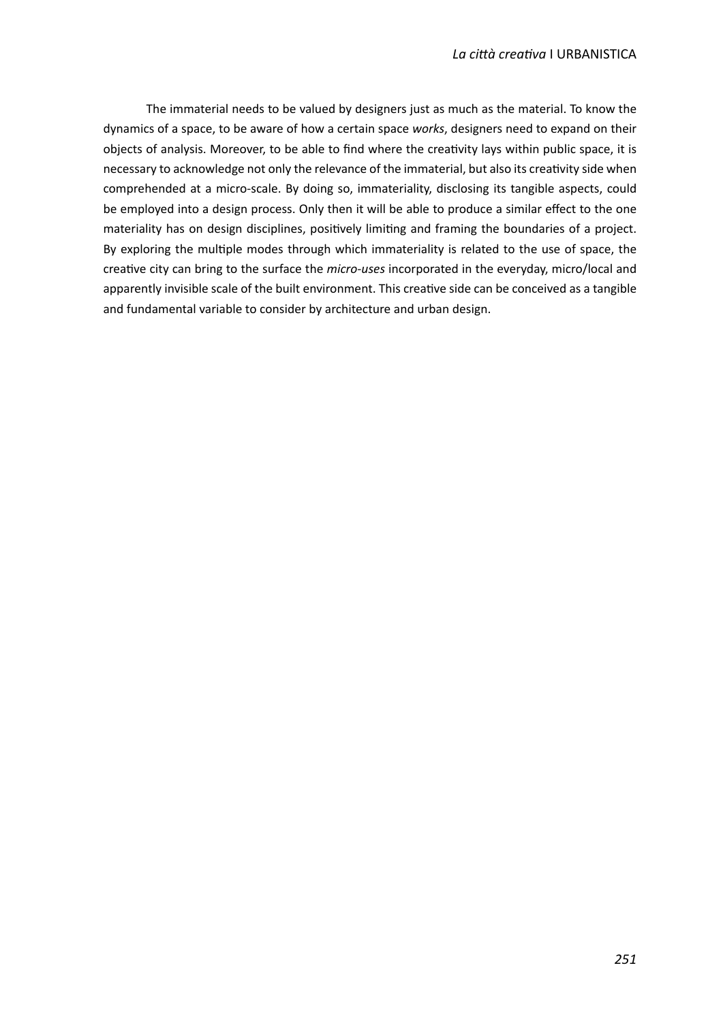The immaterial needs to be valued by designers just as much as the material. To know the dynamics of a space, to be aware of how a certain space *works*, designers need to expand on their objects of analysis. Moreover, to be able to fnd where the creatvity lays within public space, it is necessary to acknowledge not only the relevance of the immaterial, but also its creativity side when comprehended at a micro-scale. By doing so, immateriality, disclosing its tangible aspects, could be employed into a design process. Only then it will be able to produce a similar effect to the one materiality has on design disciplines, positvely limitng and framing the boundaries of a project. By exploring the multiple modes through which immateriality is related to the use of space, the creative city can bring to the surface the *micro-uses* incorporated in the everyday, micro/local and apparently invisible scale of the built environment. This creative side can be conceived as a tangible and fundamental variable to consider by architecture and urban design.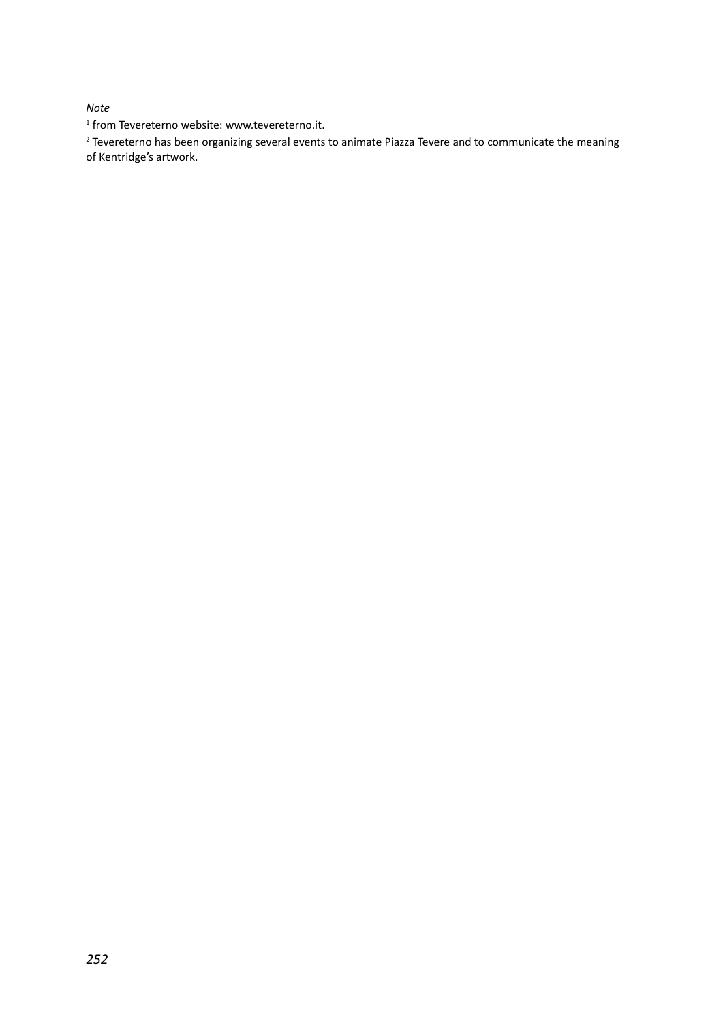## *Note*

1 from Tevereterno website: www.tevereterno.it.

<sup>2</sup> Tevereterno has been organizing several events to animate Piazza Tevere and to communicate the meaning of Kentridge's artwork.